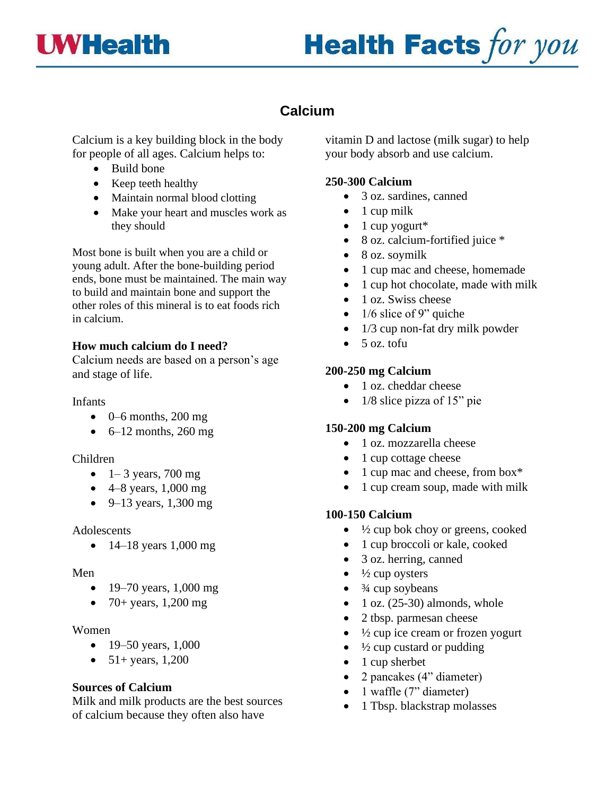



# **Calcium**

Calcium is a key building block in the body for people of all ages. Calcium helps to:

- Build bone
- Keep teeth healthy
- Maintain normal blood clotting
- Make your heart and muscles work as they should

Most bone is built when you are a child or young adult. After the bone-building period ends, bone must be maintained. The main way to build and maintain bone and support the other roles of this mineral is to eat foods rich in calcium.

# **How much calcium do I need?**

Calcium needs are based on a person's age and stage of life.

#### Infants

- $\bullet$  0–6 months, 200 mg
- $\bullet$  6–12 months, 260 mg

#### Children

- $\bullet$  1– 3 years, 700 mg
- $4-8$  years, 1,000 mg
- 9–13 years, 1,300 mg

#### Adolescents

• 14–18 years 1,000 mg

#### Men

- 19–70 years,  $1,000 \text{ mg}$
- 70+ years, 1,200 mg

#### Women

- 19–50 years, 1,000
- $51+$  years, 1,200

# **Sources of Calcium**

Milk and milk products are the best sources of calcium because they often also have

vitamin D and lactose (milk sugar) to help your body absorb and use calcium.

# **250-300 Calcium**

- 3 oz. sardines, canned
- $\bullet$  1 cup milk
- $\bullet$  1 cup yogurt\*
- 8 oz. calcium-fortified juice \*
- 8 oz. soymilk
- 1 cup mac and cheese, homemade
- 1 cup hot chocolate, made with milk
- 1 oz. Swiss cheese
- $\bullet$  1/6 slice of 9" quiche
- 1/3 cup non-fat dry milk powder
- 5 oz. tofu

# **200-250 mg Calcium**

- 1 oz. cheddar cheese
- 1/8 slice pizza of 15" pie

# **150-200 mg Calcium**

- 1 oz. mozzarella cheese
- 1 cup cottage cheese
- 1 cup mac and cheese, from box\*
- 1 cup cream soup, made with milk

# **100-150 Calcium**

- $\bullet$   $\frac{1}{2}$  cup bok choy or greens, cooked
- 1 cup broccoli or kale, cooked
- 3 oz. herring, canned
- $\bullet$   $\frac{1}{2}$  cup oysters
- $\bullet$   $\frac{3}{4}$  cup soybeans
- 1 oz.  $(25-30)$  almonds, whole
- 2 tbsp. parmesan cheese
- $\bullet$   $\frac{1}{2}$  cup ice cream or frozen yogurt
- $\bullet$   $\frac{1}{2}$  cup custard or pudding
- 1 cup sherbet
- 2 pancakes (4" diameter)
- 1 waffle (7" diameter)
- 1 Tbsp. blackstrap molasses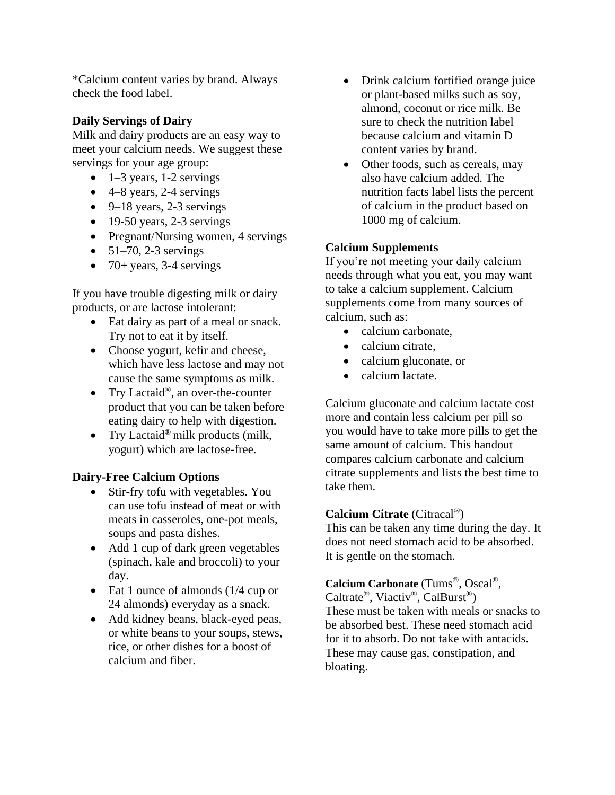\*Calcium content varies by brand. Always check the food label.

# **Daily Servings of Dairy**

Milk and dairy products are an easy way to meet your calcium needs. We suggest these servings for your age group:

- $\bullet$  1–3 years, 1-2 servings
- $\bullet$  4–8 years, 2-4 servings
- $\bullet$  9–18 years, 2-3 servings
- $\bullet$  19-50 years, 2-3 servings
- Pregnant/Nursing women, 4 servings
- $51-70$ , 2-3 servings
- 70+ years, 3-4 servings

If you have trouble digesting milk or dairy products, or are lactose intolerant:

- Eat dairy as part of a meal or snack. Try not to eat it by itself.
- Choose yogurt, kefir and cheese, which have less lactose and may not cause the same symptoms as milk.
- Try Lactaid®, an over-the-counter product that you can be taken before eating dairy to help with digestion.
- Try Lactaid<sup>®</sup> milk products (milk, yogurt) which are lactose-free.

# **Dairy-Free Calcium Options**

- Stir-fry tofu with vegetables. You can use tofu instead of meat or with meats in casseroles, one-pot meals, soups and pasta dishes.
- Add 1 cup of dark green vegetables (spinach, kale and broccoli) to your day.
- Eat 1 ounce of almonds (1/4 cup or 24 almonds) everyday as a snack.
- Add kidney beans, black-eyed peas, or white beans to your soups, stews, rice, or other dishes for a boost of calcium and fiber.
- Drink calcium fortified orange juice or plant-based milks such as soy, almond, coconut or rice milk. Be sure to check the nutrition label because calcium and vitamin D content varies by brand.
- Other foods, such as cereals, may also have calcium added. The nutrition facts label lists the percent of calcium in the product based on 1000 mg of calcium.

# **Calcium Supplements**

If you're not meeting your daily calcium needs through what you eat, you may want to take a calcium supplement. Calcium supplements come from many sources of calcium, such as:

- calcium carbonate,
- calcium citrate,
- calcium gluconate, or
- calcium lactate.

Calcium gluconate and calcium lactate cost more and contain less calcium per pill so you would have to take more pills to get the same amount of calcium. This handout compares calcium carbonate and calcium citrate supplements and lists the best time to take them.

# **Calcium Citrate** (Citracal®)

This can be taken any time during the day. It does not need stomach acid to be absorbed. It is gentle on the stomach.

# **Calcium Carbonate** (Tums®, Oscal®,

Caltrate®, Viactiv®, CalBurst®) These must be taken with meals or snacks to be absorbed best. These need stomach acid for it to absorb. Do not take with antacids. These may cause gas, constipation, and bloating.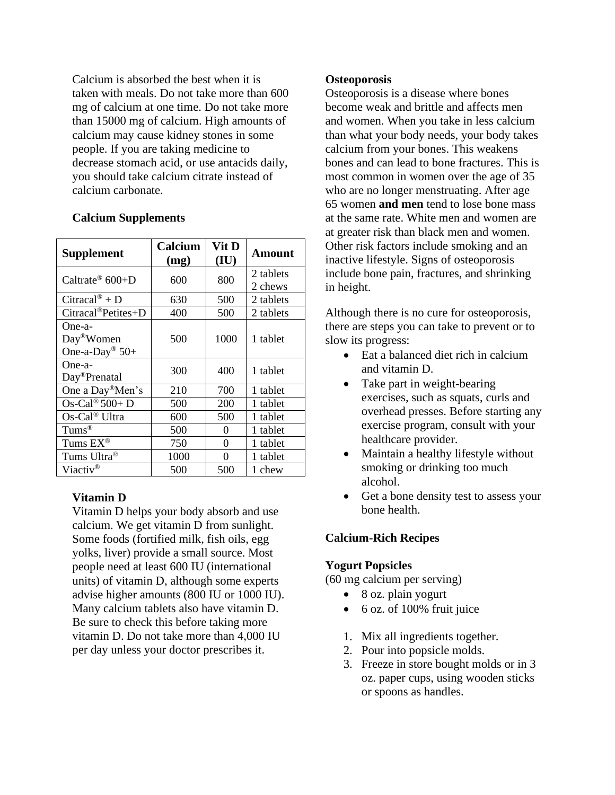Calcium is absorbed the best when it is taken with meals. Do not take more than 600 mg of calcium at one time. Do not take more than 15000 mg of calcium. High amounts of calcium may cause kidney stones in some people. If you are taking medicine to decrease stomach acid, or use antacids daily, you should take calcium citrate instead of calcium carbonate.

| <b>Supplement</b>                                                | Calcium<br>(mg) | Vit D<br>(IU) | Amount               |
|------------------------------------------------------------------|-----------------|---------------|----------------------|
| Caltrate <sup>®</sup> $600+D$                                    | 600             | 800           | 2 tablets<br>2 chews |
| Citracal <sup>®</sup> + D                                        | 630             | 500           | 2 tablets            |
| $Citrac{al^@Petites+D}$                                          | 400             | 500           | 2 tablets            |
| One-a-<br>Day <sup>®</sup> Women<br>One-a-Day <sup>®</sup> $50+$ | 500             | 1000          | 1 tablet             |
| One-a-<br>Day <sup>®</sup> Prenatal                              | 300             | 400           | 1 tablet             |
| One a Day®Men's                                                  | 210             | 700           | 1 tablet             |
| Os-Cal <sup>®</sup> $500+$ D                                     | 500             | 200           | 1 tablet             |
| Os-Cal® Ultra                                                    | 600             | 500           | 1 tablet             |
| $Tums^{\circledR}$                                               | 500             | 0             | 1 tablet             |
| Tums $EX^{\circledR}$                                            | 750             | 0             | 1 tablet             |
| Tums Ultra®                                                      | 1000            | 0             | 1 tablet             |
| Viactiv <sup>®</sup>                                             | 500             | 500           | 1 chew               |

#### **Calcium Supplements**

# **Vitamin D**

Vitamin D helps your body absorb and use calcium. We get vitamin D from sunlight. Some foods (fortified milk, fish oils, egg yolks, liver) provide a small source. Most people need at least 600 IU (international units) of vitamin D, although some experts advise higher amounts (800 IU or 1000 IU). Many calcium tablets also have vitamin D. Be sure to check this before taking more vitamin D. Do not take more than 4,000 IU per day unless your doctor prescribes it.

#### **Osteoporosis**

Osteoporosis is a disease where bones become weak and brittle and affects men and women. When you take in less calcium than what your body needs, your body takes calcium from your bones. This weakens bones and can lead to bone fractures. This is most common in women over the age of 35 who are no longer menstruating. After age 65 women **and men** tend to lose bone mass at the same rate. White men and women are at greater risk than black men and women. Other risk factors include smoking and an inactive lifestyle. Signs of osteoporosis include bone pain, fractures, and shrinking in height.

Although there is no cure for osteoporosis, there are steps you can take to prevent or to slow its progress:

- Eat a balanced diet rich in calcium and vitamin D.
- Take part in weight-bearing exercises, such as squats, curls and overhead presses. Before starting any exercise program, consult with your healthcare provider.
- Maintain a healthy lifestyle without smoking or drinking too much alcohol.
- Get a bone density test to assess your bone health.

# **Calcium-Rich Recipes**

#### **Yogurt Popsicles**

(60 mg calcium per serving)

- 8 oz. plain yogurt
- 6 oz. of 100% fruit juice
- 1. Mix all ingredients together.
- 2. Pour into popsicle molds.
- 3. Freeze in store bought molds or in 3 oz. paper cups, using wooden sticks or spoons as handles.